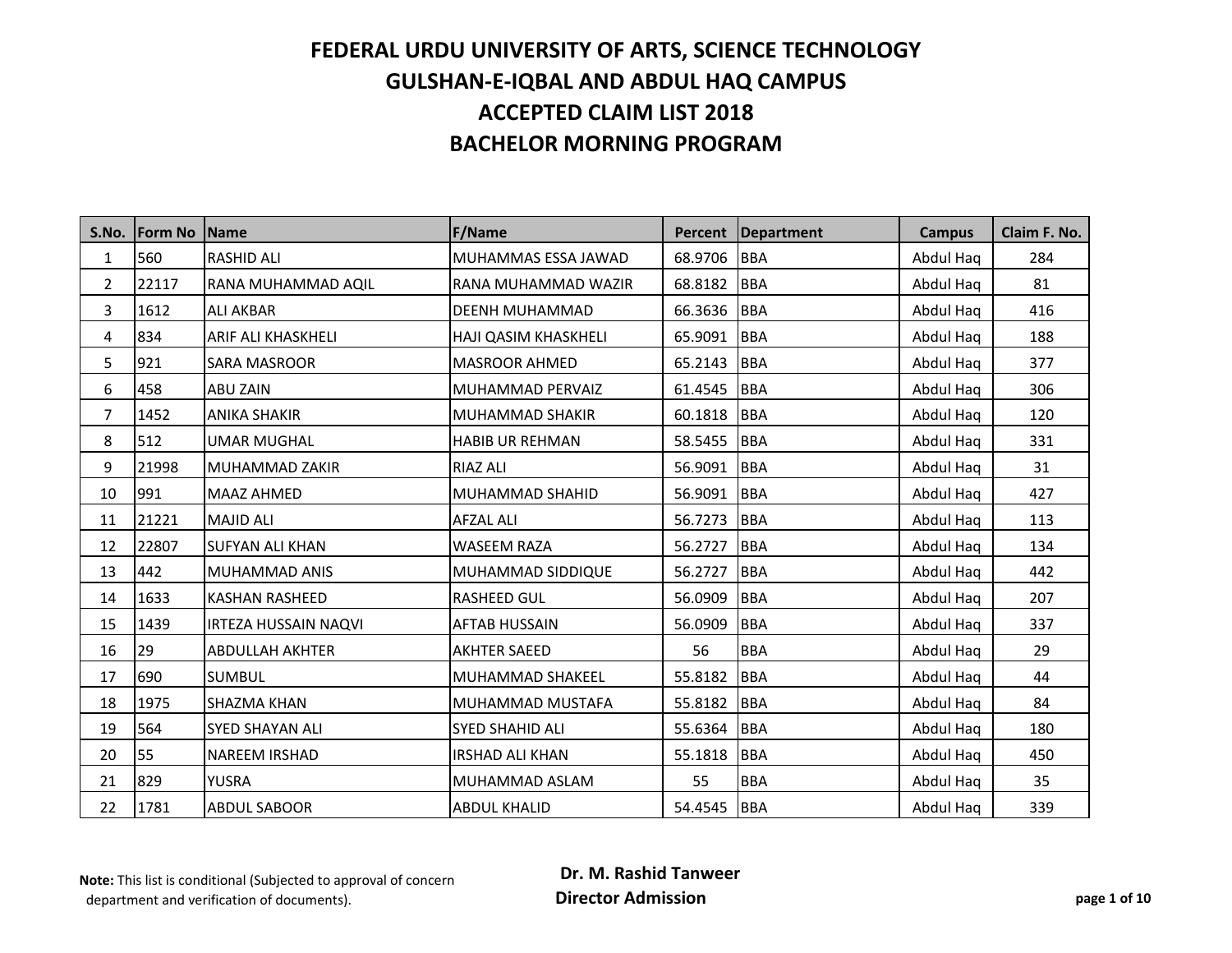| S.No.          | <b>IForm No</b> | <b>Name</b>                 | F/Name                  | <b>Percent</b> | Department | <b>Campus</b> | Claim F. No. |
|----------------|-----------------|-----------------------------|-------------------------|----------------|------------|---------------|--------------|
| $\mathbf{1}$   | 560             | <b>RASHID ALI</b>           | MUHAMMAS ESSA JAWAD     | 68.9706        | <b>BBA</b> | Abdul Haq     | 284          |
| $\overline{2}$ | 22117           | RANA MUHAMMAD AQIL          | RANA MUHAMMAD WAZIR     | 68.8182        | <b>BBA</b> | Abdul Haq     | 81           |
| 3              | 1612            | <b>ALI AKBAR</b>            | <b>DEENH MUHAMMAD</b>   | 66.3636        | <b>BBA</b> | Abdul Hag     | 416          |
| 4              | 834             | <b>ARIF ALI KHASKHELI</b>   | HAJI QASIM KHASKHELI    | 65.9091        | <b>BBA</b> | Abdul Haq     | 188          |
| 5              | 921             | <b>SARA MASROOR</b>         | <b>MASROOR AHMED</b>    | 65.2143        | <b>BBA</b> | Abdul Haq     | 377          |
| 6              | 458             | <b>ABU ZAIN</b>             | MUHAMMAD PERVAIZ        | 61.4545        | <b>BBA</b> | Abdul Haq     | 306          |
| $\overline{7}$ | 1452            | <b>ANIKA SHAKIR</b>         | <b>MUHAMMAD SHAKIR</b>  | 60.1818        | <b>BBA</b> | Abdul Haq     | 120          |
| 8              | 512             | <b>UMAR MUGHAL</b>          | <b>HABIB UR REHMAN</b>  | 58.5455        | <b>BBA</b> | Abdul Hag     | 331          |
| 9              | 21998           | MUHAMMAD ZAKIR              | <b>RIAZ ALI</b>         | 56.9091        | <b>BBA</b> | Abdul Haq     | 31           |
| 10             | 991             | <b>MAAZ AHMED</b>           | <b>MUHAMMAD SHAHID</b>  | 56.9091        | <b>BBA</b> | Abdul Haq     | 427          |
| 11             | 21221           | <b>MAJID ALI</b>            | <b>AFZAL ALI</b>        | 56.7273        | <b>BBA</b> | Abdul Haq     | 113          |
| 12             | 22807           | <b>SUFYAN ALI KHAN</b>      | <b>WASEEM RAZA</b>      | 56.2727        | <b>BBA</b> | Abdul Haq     | 134          |
| 13             | 442             | <b>MUHAMMAD ANIS</b>        | MUHAMMAD SIDDIQUE       | 56.2727        | <b>BBA</b> | Abdul Haq     | 442          |
| 14             | 1633            | <b>KASHAN RASHEED</b>       | <b>RASHEED GUL</b>      | 56.0909        | <b>BBA</b> | Abdul Haq     | 207          |
| 15             | 1439            | <b>IRTEZA HUSSAIN NAQVI</b> | <b>AFTAB HUSSAIN</b>    | 56.0909        | <b>BBA</b> | Abdul Haq     | 337          |
| 16             | 29              | <b>ABDULLAH AKHTER</b>      | <b>AKHTER SAEED</b>     | 56             | <b>BBA</b> | Abdul Haq     | 29           |
| 17             | 690             | <b>SUMBUL</b>               | <b>MUHAMMAD SHAKEEL</b> | 55.8182        | <b>BBA</b> | Abdul Haq     | 44           |
| 18             | 1975            | <b>SHAZMA KHAN</b>          | MUHAMMAD MUSTAFA        | 55.8182        | <b>BBA</b> | Abdul Haq     | 84           |
| 19             | 564             | <b>SYED SHAYAN ALI</b>      | <b>SYED SHAHID ALI</b>  | 55.6364        | <b>BBA</b> | Abdul Haq     | 180          |
| 20             | 55              | <b>NAREEM IRSHAD</b>        | <b>IRSHAD ALI KHAN</b>  | 55.1818        | <b>BBA</b> | Abdul Hag     | 450          |
| 21             | 829             | YUSRA                       | MUHAMMAD ASLAM          | 55             | <b>BBA</b> | Abdul Hag     | 35           |
| 22             | 1781            | <b>ABDUL SABOOR</b>         | <b>ABDUL KHALID</b>     | 54.4545        | <b>BBA</b> | Abdul Hag     | 339          |

**Note:** This list is conditional (Subjected to approval of concern department and verification of documents).

 **Dr. M. Rashid Tanweer Director Admission page 1 of 10**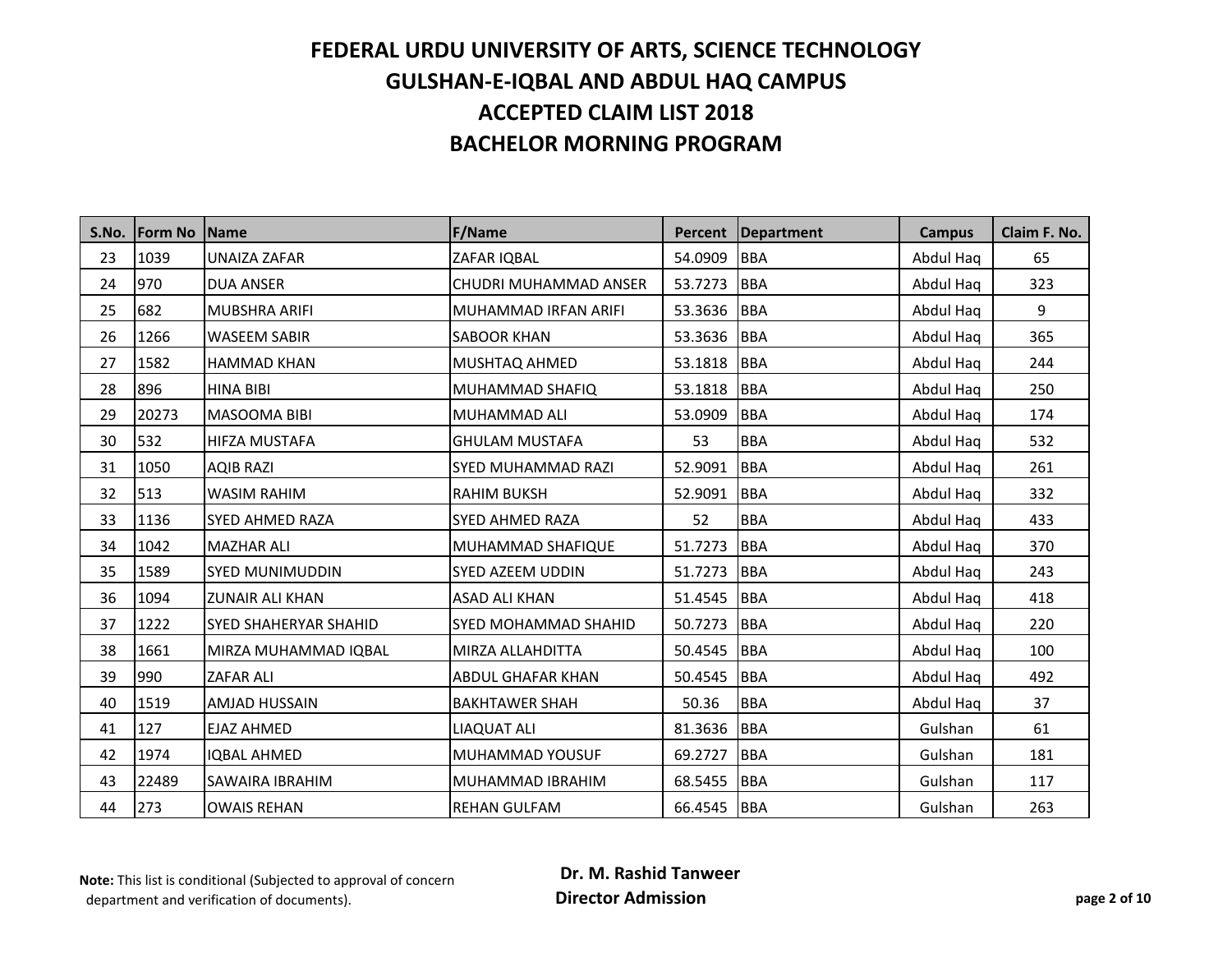| S.No. | <b>IForm No IName</b> |                              | <b>F/Name</b>               | Percent               | <b>Department</b> | <b>Campus</b> | Claim F. No. |
|-------|-----------------------|------------------------------|-----------------------------|-----------------------|-------------------|---------------|--------------|
| 23    | 1039                  | <b>UNAIZA ZAFAR</b>          | ZAFAR IQBAL                 | 54.0909               | <b>BBA</b>        | Abdul Haq     | 65           |
| 24    | 970                   | <b>DUA ANSER</b>             | CHUDRI MUHAMMAD ANSER       | 53.7273               | <b>BBA</b>        | Abdul Haq     | 323          |
| 25    | 682                   | MUBSHRA ARIFI                | <b>MUHAMMAD IRFAN ARIFI</b> | 53.3636               | <b>BBA</b>        | Abdul Haq     | 9            |
| 26    | 1266                  | <b>WASEEM SABIR</b>          | <b>SABOOR KHAN</b>          | 53.3636               | <b>BBA</b>        | Abdul Haq     | 365          |
| 27    | 1582                  | <b>HAMMAD KHAN</b>           | MUSHTAQ AHMED               | 53.1818               | <b>BBA</b>        | Abdul Haq     | 244          |
| 28    | 896                   | <b>HINA BIBI</b>             | MUHAMMAD SHAFIQ             | 53.1818               | <b>BBA</b>        | Abdul Haq     | 250          |
| 29    | 20273                 | <b>MASOOMA BIBI</b>          | <b>MUHAMMAD ALI</b>         | 53.0909               | <b>BBA</b>        | Abdul Haq     | 174          |
| 30    | 532                   | HIFZA MUSTAFA                | <b>GHULAM MUSTAFA</b>       | 53                    | <b>BBA</b>        | Abdul Haq     | 532          |
| 31    | 1050                  | <b>AQIB RAZI</b>             | SYED MUHAMMAD RAZI          | 52.9091               | <b>BBA</b>        | Abdul Haq     | 261          |
| 32    | 513                   | <b>WASIM RAHIM</b>           | <b>RAHIM BUKSH</b>          | 52.9091               | <b>BBA</b>        | Abdul Haq     | 332          |
| 33    | 1136                  | <b>SYED AHMED RAZA</b>       | <b>SYED AHMED RAZA</b>      | 52                    | <b>BBA</b>        | Abdul Haq     | 433          |
| 34    | 1042                  | <b>MAZHAR ALI</b>            | <b>MUHAMMAD SHAFIQUE</b>    | 51.7273               | <b>BBA</b>        | Abdul Haq     | 370          |
| 35    | 1589                  | <b>SYED MUNIMUDDIN</b>       | <b>SYED AZEEM UDDIN</b>     | <b>BBA</b><br>51.7273 |                   | Abdul Haq     | 243          |
| 36    | 1094                  | <b>ZUNAIR ALI KHAN</b>       | <b>ASAD ALI KHAN</b>        | 51.4545               | <b>BBA</b>        | Abdul Haq     | 418          |
| 37    | 1222                  | <b>SYED SHAHERYAR SHAHID</b> | <b>SYED MOHAMMAD SHAHID</b> | 50.7273               | <b>BBA</b>        | Abdul Haq     | 220          |
| 38    | 1661                  | MIRZA MUHAMMAD IQBAL         | MIRZA ALLAHDITTA            | 50.4545               | <b>BBA</b>        | Abdul Hag     | 100          |
| 39    | 990                   | <b>ZAFAR ALI</b>             | <b>ABDUL GHAFAR KHAN</b>    | 50.4545               | <b>BBA</b>        | Abdul Haq     | 492          |
| 40    | 1519                  | <b>AMJAD HUSSAIN</b>         | <b>BAKHTAWER SHAH</b>       | 50.36                 | <b>BBA</b>        | Abdul Haq     | 37           |
| 41    | 127                   | <b>EJAZ AHMED</b>            | <b>LIAQUAT ALI</b>          | 81.3636               | <b>BBA</b>        | Gulshan       | 61           |
| 42    | 1974                  | <b>IQBAL AHMED</b>           | MUHAMMAD YOUSUF             | 69.2727               | <b>BBA</b>        | Gulshan       | 181          |
| 43    | 22489                 | SAWAIRA IBRAHIM              | MUHAMMAD IBRAHIM            | 68.5455               | <b>BBA</b>        | Gulshan       | 117          |
| 44    | 273                   | <b>OWAIS REHAN</b>           | <b>REHAN GULFAM</b>         | 66.4545 BBA           |                   | Gulshan       | 263          |

 **Dr. M. Rashid Tanweer Director Admission page 2 of 10**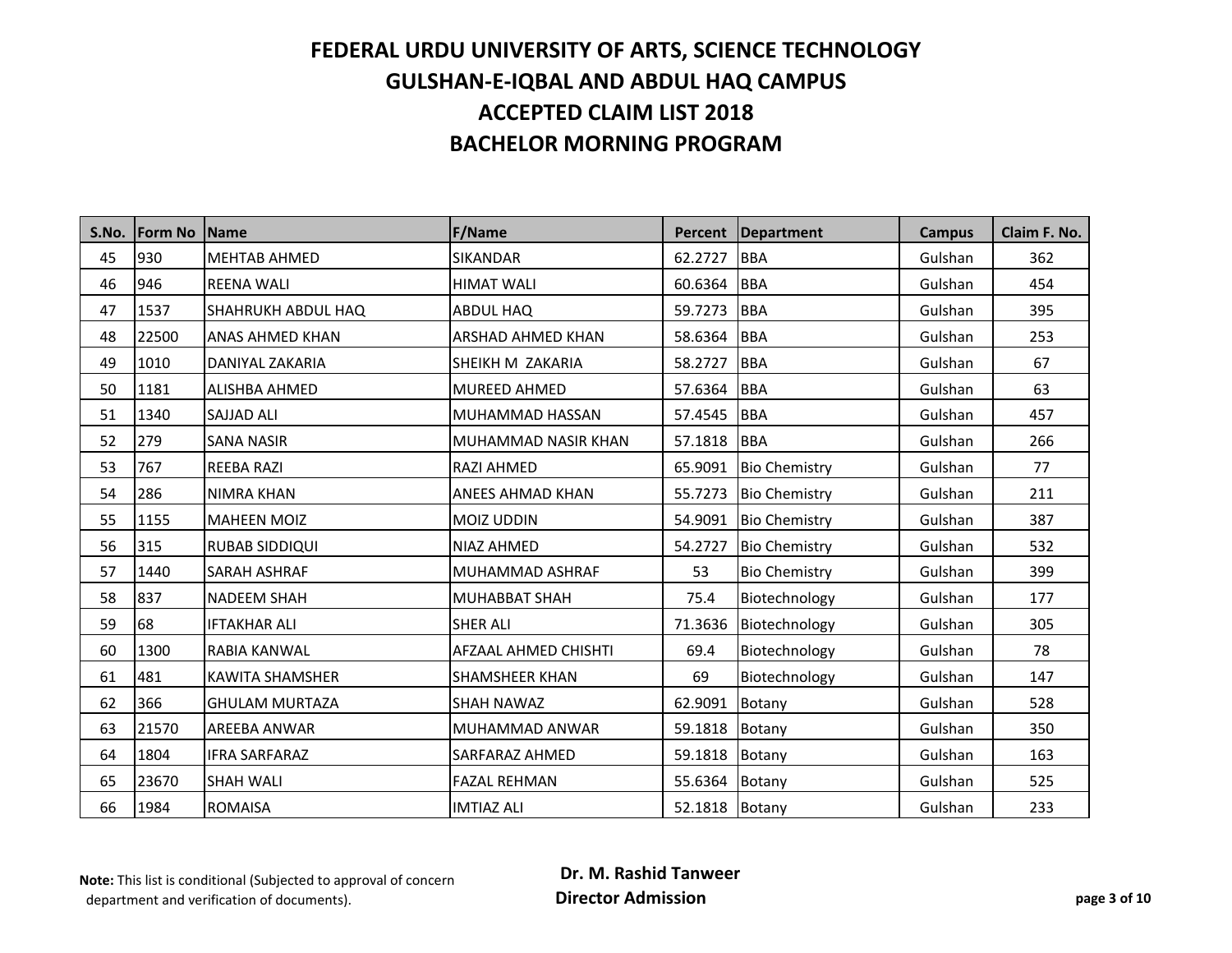| S.No. | <b>Form No Name</b> |                        | <b>F/Name</b>               | <b>Percent</b> | <b>Department</b>    | <b>Campus</b> | Claim F. No. |
|-------|---------------------|------------------------|-----------------------------|----------------|----------------------|---------------|--------------|
| 45    | 930                 | <b>MEHTAB AHMED</b>    | <b>SIKANDAR</b>             | 62.2727        | <b>BBA</b>           | Gulshan       | 362          |
| 46    | 946                 | <b>REENA WALI</b>      | <b>HIMAT WALI</b>           | 60.6364        | <b>BBA</b>           | Gulshan       | 454          |
| 47    | 1537                | SHAHRUKH ABDUL HAQ     | <b>ABDUL HAQ</b>            | 59.7273        | <b>BBA</b>           | Gulshan       | 395          |
| 48    | 22500               | <b>ANAS AHMED KHAN</b> | <b>ARSHAD AHMED KHAN</b>    | 58.6364        | <b>BBA</b>           | Gulshan       | 253          |
| 49    | 1010                | DANIYAL ZAKARIA        | SHEIKH M ZAKARIA            | 58.2727        | <b>BBA</b>           | Gulshan       | 67           |
| 50    | 1181                | ALISHBA AHMED          | <b>MUREED AHMED</b>         | 57.6364        | <b>BBA</b>           | Gulshan       | 63           |
| 51    | 1340                | SAJJAD ALI             | MUHAMMAD HASSAN             | 57.4545        | <b>BBA</b>           | Gulshan       | 457          |
| 52    | 279                 | <b>SANA NASIR</b>      | MUHAMMAD NASIR KHAN         | 57.1818        | <b>BBA</b>           | Gulshan       | 266          |
| 53    | 767                 | <b>REEBA RAZI</b>      | <b>RAZI AHMED</b>           | 65.9091        | <b>Bio Chemistry</b> | Gulshan       | 77           |
| 54    | 286                 | <b>NIMRA KHAN</b>      | <b>ANEES AHMAD KHAN</b>     | 55.7273        | <b>Bio Chemistry</b> | Gulshan       | 211          |
| 55    | 1155                | <b>MAHEEN MOIZ</b>     | <b>MOIZ UDDIN</b>           | 54.9091        | <b>Bio Chemistry</b> | Gulshan       | 387          |
| 56    | 315                 | <b>RUBAB SIDDIQUI</b>  | NIAZ AHMED                  | 54.2727        | <b>Bio Chemistry</b> | Gulshan       | 532          |
| 57    | 1440                | <b>SARAH ASHRAF</b>    | MUHAMMAD ASHRAF             | 53             | <b>Bio Chemistry</b> | Gulshan       | 399          |
| 58    | 837                 | <b>NADEEM SHAH</b>     | <b>MUHABBAT SHAH</b>        | 75.4           | Biotechnology        | Gulshan       | 177          |
| 59    | 68                  | <b>IFTAKHAR ALI</b>    | <b>SHER ALI</b>             | 71.3636        | Biotechnology        | Gulshan       | 305          |
| 60    | 1300                | RABIA KANWAL           | <b>AFZAAL AHMED CHISHTI</b> | 69.4           | Biotechnology        | Gulshan       | 78           |
| 61    | 481                 | <b>KAWITA SHAMSHER</b> | <b>SHAMSHEER KHAN</b>       | 69             | Biotechnology        | Gulshan       | 147          |
| 62    | 366                 | <b>GHULAM MURTAZA</b>  | <b>SHAH NAWAZ</b>           | 62.9091        | Botany               | Gulshan       | 528          |
| 63    | 21570               | <b>AREEBA ANWAR</b>    | MUHAMMAD ANWAR              | 59.1818        | Botany               | Gulshan       | 350          |
| 64    | 1804                | <b>IFRA SARFARAZ</b>   | SARFARAZ AHMED              | 59.1818        | Botany               | Gulshan       | 163          |
| 65    | 23670               | <b>SHAH WALI</b>       | <b>FAZAL REHMAN</b>         | 55.6364        | Botany               | Gulshan       | 525          |
| 66    | 1984                | <b>ROMAISA</b>         | <b>IMTIAZ ALI</b>           | 52.1818 Botany |                      | Gulshan       | 233          |

 **Dr. M. Rashid Tanweer Director Admission page 3 of 10**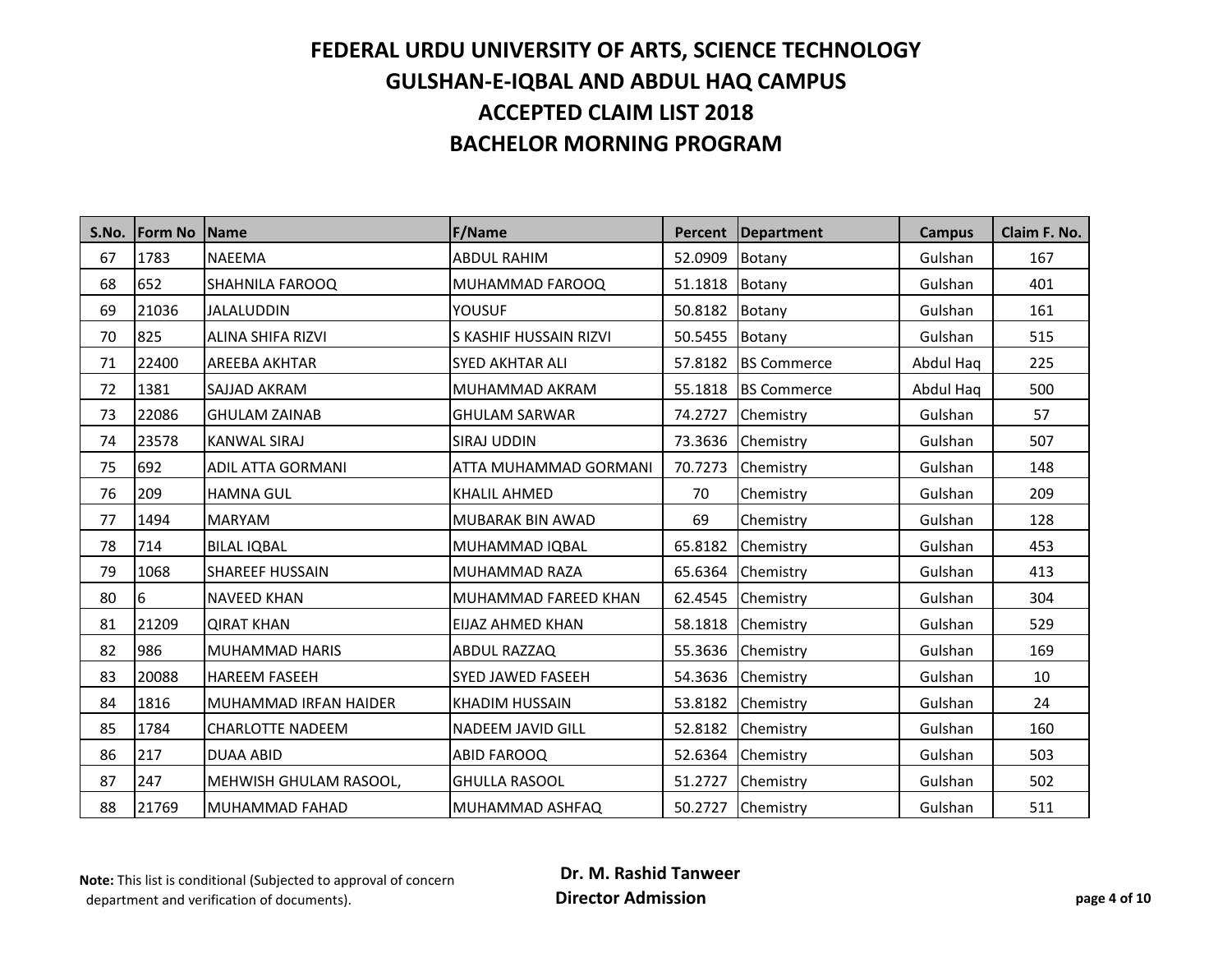| S.No. | <b>Form No</b> | Name                         | F/Name                   | <b>Percent</b> | Department         | <b>Campus</b> | Claim F. No. |
|-------|----------------|------------------------------|--------------------------|----------------|--------------------|---------------|--------------|
| 67    | 1783           | <b>NAEEMA</b>                | <b>ABDUL RAHIM</b>       | 52.0909        | Botany             | Gulshan       | 167          |
| 68    | 652            | <b>SHAHNILA FAROOQ</b>       | MUHAMMAD FAROOQ          | 51.1818        | Botany             | Gulshan       | 401          |
| 69    | 21036          | <b>JALALUDDIN</b>            | <b>YOUSUF</b>            | 50.8182        | Botany             | Gulshan       | 161          |
| 70    | 825            | ALINA SHIFA RIZVI            | S KASHIF HUSSAIN RIZVI   | 50.5455        | Botany             | Gulshan       | 515          |
| 71    | 22400          | <b>AREEBA AKHTAR</b>         | <b>SYED AKHTAR ALI</b>   | 57.8182        | <b>BS Commerce</b> | Abdul Haq     | 225          |
| 72    | 1381           | <b>SAJJAD AKRAM</b>          | MUHAMMAD AKRAM           | 55.1818        | <b>BS Commerce</b> | Abdul Haq     | 500          |
| 73    | 22086          | <b>GHULAM ZAINAB</b>         | <b>GHULAM SARWAR</b>     | 74.2727        | Chemistry          | Gulshan       | 57           |
| 74    | 23578          | <b>KANWAL SIRAJ</b>          | SIRAJ UDDIN              | 73.3636        | Chemistry          | Gulshan       | 507          |
| 75    | 692            | <b>ADIL ATTA GORMANI</b>     | ATTA MUHAMMAD GORMANI    | 70.7273        | Chemistry          | Gulshan       | 148          |
| 76    | 209            | <b>HAMNA GUL</b>             | <b>KHALIL AHMED</b>      | 70             | Chemistry          | Gulshan       | 209          |
| 77    | 1494           | <b>MARYAM</b>                | MUBARAK BIN AWAD         | 69             | Chemistry          | Gulshan       | 128          |
| 78    | 714            | <b>BILAL IQBAL</b>           | MUHAMMAD IQBAL           | 65.8182        | Chemistry          | Gulshan       | 453          |
| 79    | 1068           | <b>SHAREEF HUSSAIN</b>       | MUHAMMAD RAZA            | 65.6364        | Chemistry          | Gulshan       | 413          |
| 80    | 16             | <b>NAVEED KHAN</b>           | MUHAMMAD FAREED KHAN     | 62.4545        | Chemistry          | Gulshan       | 304          |
| 81    | 21209          | <b>QIRAT KHAN</b>            | EIJAZ AHMED KHAN         | 58.1818        | Chemistry          | Gulshan       | 529          |
| 82    | 986            | <b>MUHAMMAD HARIS</b>        | ABDUL RAZZAQ             | 55.3636        | Chemistry          | Gulshan       | 169          |
| 83    | 20088          | <b>HAREEM FASEEH</b>         | SYED JAWED FASEEH        | 54.3636        | Chemistry          | Gulshan       | 10           |
| 84    | 1816           | <b>MUHAMMAD IRFAN HAIDER</b> | <b>KHADIM HUSSAIN</b>    | 53.8182        | Chemistry          | Gulshan       | 24           |
| 85    | 1784           | <b>CHARLOTTE NADEEM</b>      | <b>NADEEM JAVID GILL</b> | 52.8182        | Chemistry          | Gulshan       | 160          |
| 86    | 217            | <b>DUAA ABID</b>             | ABID FAROOQ              | 52.6364        | Chemistry          | Gulshan       | 503          |
| 87    | 247            | MEHWISH GHULAM RASOOL,       | <b>GHULLA RASOOL</b>     | 51.2727        | Chemistry          | Gulshan       | 502          |
| 88    | 21769          | MUHAMMAD FAHAD               | MUHAMMAD ASHFAQ          |                | 50.2727 Chemistry  | Gulshan       | 511          |

**Note:** This list is conditional (Subjected to approval of concern department and verification of documents).

 **Dr. M. Rashid Tanweer Director Admission page 4 of 10**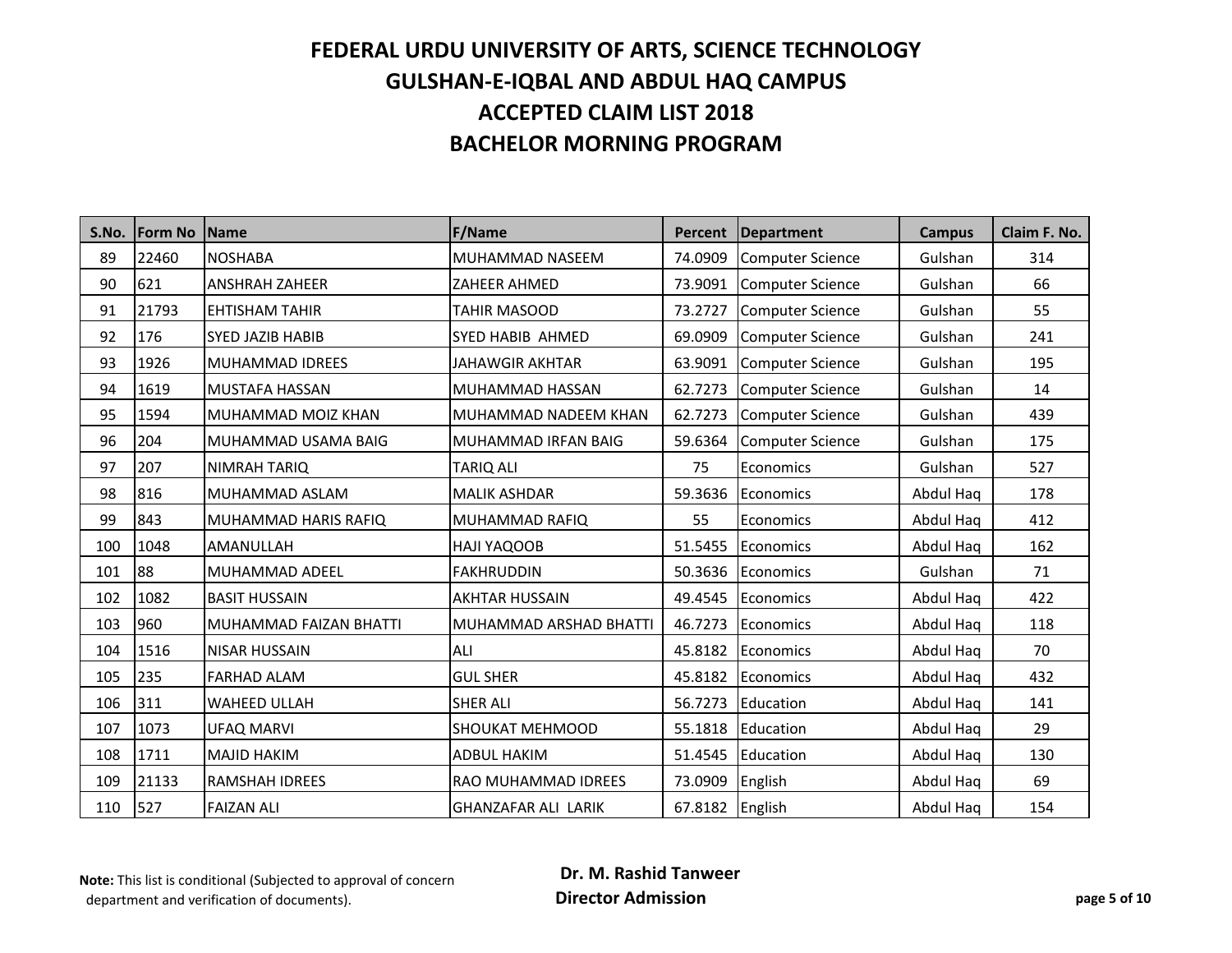| S.No. | <b>IForm No</b> | Name                    | <b>F/Name</b>              | Percent | <b>Department</b>       | <b>Campus</b> | Claim F. No. |
|-------|-----------------|-------------------------|----------------------------|---------|-------------------------|---------------|--------------|
| 89    | 22460           | <b>NOSHABA</b>          | MUHAMMAD NASEEM            | 74.0909 | <b>Computer Science</b> | Gulshan       | 314          |
| 90    | 621             | <b>ANSHRAH ZAHEER</b>   | <b>ZAHEER AHMED</b>        | 73.9091 | <b>Computer Science</b> | Gulshan       | 66           |
| 91    | 21793           | <b>EHTISHAM TAHIR</b>   | <b>TAHIR MASOOD</b>        | 73.2727 | <b>Computer Science</b> | Gulshan       | 55           |
| 92    | 176             | <b>SYED JAZIB HABIB</b> | <b>SYED HABIB AHMED</b>    | 69.0909 | <b>Computer Science</b> | Gulshan       | 241          |
| 93    | 1926            | <b>MUHAMMAD IDREES</b>  | <b>JAHAWGIR AKHTAR</b>     | 63.9091 | <b>Computer Science</b> | Gulshan       | 195          |
| 94    | 1619            | <b>MUSTAFA HASSAN</b>   | MUHAMMAD HASSAN            | 62.7273 | <b>Computer Science</b> | Gulshan       | 14           |
| 95    | 1594            | MUHAMMAD MOIZ KHAN      | MUHAMMAD NADEEM KHAN       | 62.7273 | <b>Computer Science</b> | Gulshan       | 439          |
| 96    | 204             | MUHAMMAD USAMA BAIG     | <b>MUHAMMAD IRFAN BAIG</b> | 59.6364 | <b>Computer Science</b> | Gulshan       | 175          |
| 97    | 207             | <b>NIMRAH TARIQ</b>     | <b>TARIQ ALI</b>           | 75      | Economics               | Gulshan       | 527          |
| 98    | 816             | MUHAMMAD ASLAM          | <b>MALIK ASHDAR</b>        | 59.3636 | Economics               | Abdul Haq     | 178          |
| 99    | 843             | MUHAMMAD HARIS RAFIQ    | MUHAMMAD RAFIQ             | 55      | Economics               | Abdul Haq     | 412          |
| 100   | 1048            | AMANULLAH               | HAJI YAQOOB                | 51.5455 | Economics               | Abdul Haq     | 162          |
| 101   | 88              | MUHAMMAD ADEEL          | <b>FAKHRUDDIN</b>          | 50.3636 | Economics               | Gulshan       | 71           |
| 102   | 1082            | <b>BASIT HUSSAIN</b>    | <b>AKHTAR HUSSAIN</b>      | 49.4545 | Economics               | Abdul Haq     | 422          |
| 103   | 960             | MUHAMMAD FAIZAN BHATTI  | MUHAMMAD ARSHAD BHATTI     | 46.7273 | Economics               | Abdul Haq     | 118          |
| 104   | 1516            | <b>NISAR HUSSAIN</b>    | ALI                        | 45.8182 | Economics               | Abdul Haq     | 70           |
| 105   | 235             | <b>FARHAD ALAM</b>      | <b>GUL SHER</b>            | 45.8182 | Economics               | Abdul Haq     | 432          |
| 106   | 311             | <b>WAHEED ULLAH</b>     | <b>SHER ALI</b>            | 56.7273 | Education               | Abdul Haq     | 141          |
| 107   | 1073            | <b>UFAQ MARVI</b>       | <b>SHOUKAT MEHMOOD</b>     | 55.1818 | Education               | Abdul Haq     | 29           |
| 108   | 1711            | <b>MAJID HAKIM</b>      | <b>ADBUL HAKIM</b>         | 51.4545 | Education               | Abdul Haq     | 130          |
| 109   | 21133           | <b>RAMSHAH IDREES</b>   | RAO MUHAMMAD IDREES        | 73.0909 | English                 | Abdul Haq     | 69           |
| 110   | 527             | <b>FAIZAN ALI</b>       | <b>GHANZAFAR ALI LARIK</b> | 67.8182 | English                 | Abdul Haq     | 154          |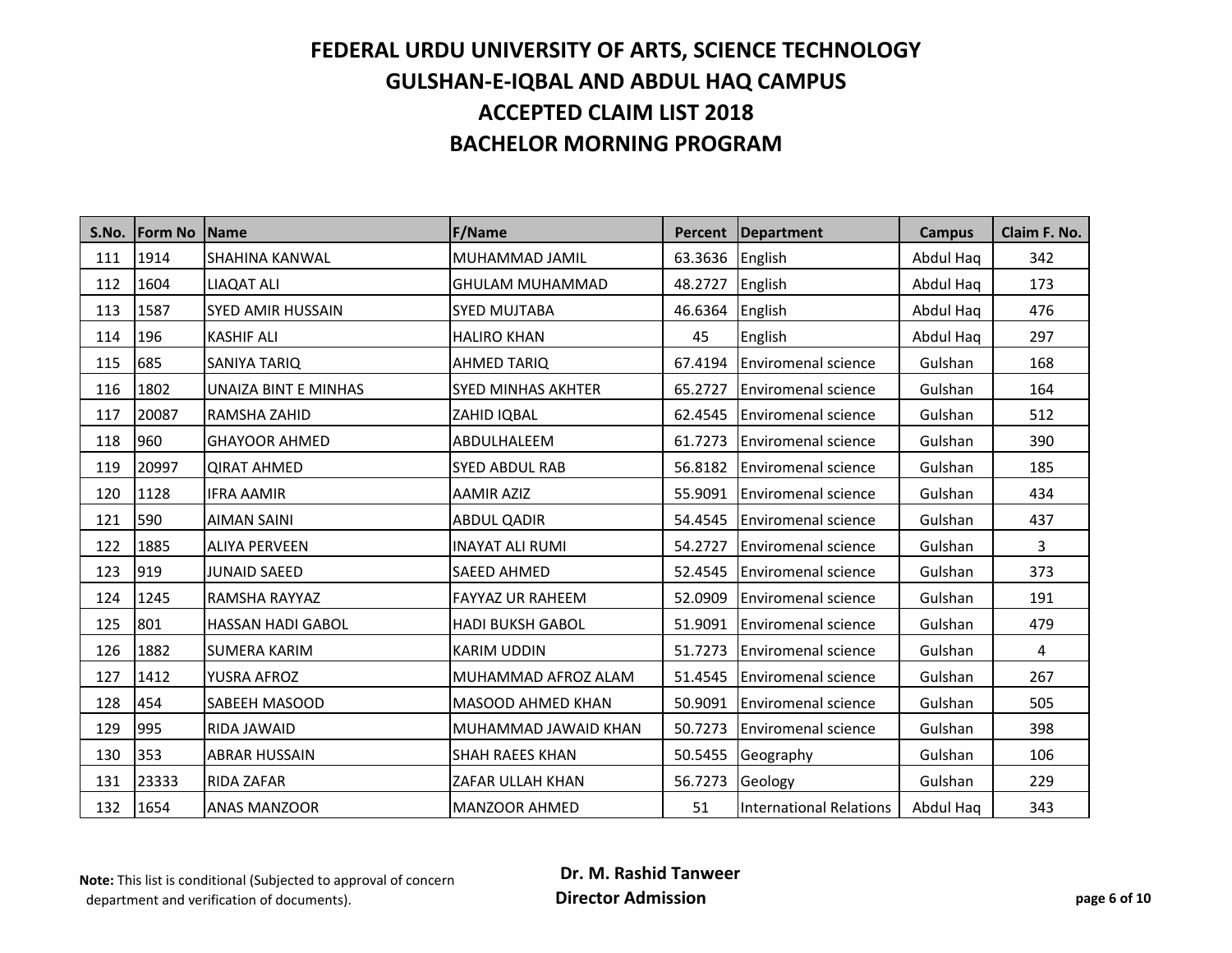| S.No. | <b>Form No</b> | <b>Name</b>              | <b>F/Name</b>             | Percent | <b>Department</b>              | <b>Campus</b> | Claim F. No. |
|-------|----------------|--------------------------|---------------------------|---------|--------------------------------|---------------|--------------|
| 111   | 1914           | SHAHINA KANWAL           | MUHAMMAD JAMIL            | 63.3636 | English                        | Abdul Haq     | 342          |
| 112   | 1604           | <b>LIAQAT ALI</b>        | <b>GHULAM MUHAMMAD</b>    | 48.2727 | English                        | Abdul Haq     | 173          |
| 113   | 1587           | <b>SYED AMIR HUSSAIN</b> | <b>SYED MUJTABA</b>       | 46.6364 | English                        | Abdul Haq     | 476          |
| 114   | 196            | <b>KASHIF ALI</b>        | <b>HALIRO KHAN</b>        | 45      | English                        | Abdul Haq     | 297          |
| 115   | 685            | SANIYA TARIQ             | <b>AHMED TARIQ</b>        | 67.4194 | <b>Enviromenal science</b>     | Gulshan       | 168          |
| 116   | 1802           | UNAIZA BINT E MINHAS     | <b>SYED MINHAS AKHTER</b> | 65.2727 | <b>Enviromenal science</b>     | Gulshan       | 164          |
| 117   | 20087          | RAMSHA ZAHID             | ZAHID IQBAL               | 62.4545 | <b>Enviromenal science</b>     | Gulshan       | 512          |
| 118   | 960            | <b>GHAYOOR AHMED</b>     | ABDULHALEEM               | 61.7273 | <b>Enviromenal science</b>     | Gulshan       | 390          |
| 119   | 20997          | <b>QIRAT AHMED</b>       | <b>SYED ABDUL RAB</b>     | 56.8182 | <b>Enviromenal science</b>     | Gulshan       | 185          |
| 120   | 1128           | <b>IFRA AAMIR</b>        | <b>AAMIR AZIZ</b>         | 55.9091 | <b>Enviromenal science</b>     | Gulshan       | 434          |
| 121   | 590            | <b>AIMAN SAINI</b>       | <b>ABDUL QADIR</b>        | 54.4545 | <b>Enviromenal science</b>     | Gulshan       | 437          |
| 122   | 1885           | <b>ALIYA PERVEEN</b>     | <b>INAYAT ALI RUMI</b>    | 54.2727 | <b>Enviromenal science</b>     | Gulshan       | 3            |
| 123   | 919            | <b>JUNAID SAEED</b>      | <b>SAEED AHMED</b>        | 52.4545 | <b>Enviromenal science</b>     | Gulshan       | 373          |
| 124   | 1245           | RAMSHA RAYYAZ            | <b>FAYYAZ UR RAHEEM</b>   | 52.0909 | <b>Enviromenal science</b>     | Gulshan       | 191          |
| 125   | 801            | <b>HASSAN HADI GABOL</b> | <b>HADI BUKSH GABOL</b>   | 51.9091 | <b>Enviromenal science</b>     | Gulshan       | 479          |
| 126   | 1882           | <b>SUMERA KARIM</b>      | <b>KARIM UDDIN</b>        | 51.7273 | <b>Enviromenal science</b>     | Gulshan       | 4            |
| 127   | 1412           | YUSRA AFROZ              | MUHAMMAD AFROZ ALAM       | 51.4545 | <b>Enviromenal science</b>     | Gulshan       | 267          |
| 128   | 454            | <b>SABEEH MASOOD</b>     | <b>MASOOD AHMED KHAN</b>  | 50.9091 | <b>Enviromenal science</b>     | Gulshan       | 505          |
| 129   | 995            | RIDA JAWAID              | MUHAMMAD JAWAID KHAN      | 50.7273 | <b>Enviromenal science</b>     | Gulshan       | 398          |
| 130   | 353            | <b>ABRAR HUSSAIN</b>     | <b>SHAH RAEES KHAN</b>    | 50.5455 | Geography                      | Gulshan       | 106          |
| 131   | 23333          | <b>RIDA ZAFAR</b>        | ZAFAR ULLAH KHAN          | 56.7273 | Geology                        | Gulshan       | 229          |
| 132   | 1654           | <b>ANAS MANZOOR</b>      | <b>MANZOOR AHMED</b>      | 51      | <b>International Relations</b> | Abdul Haq     | 343          |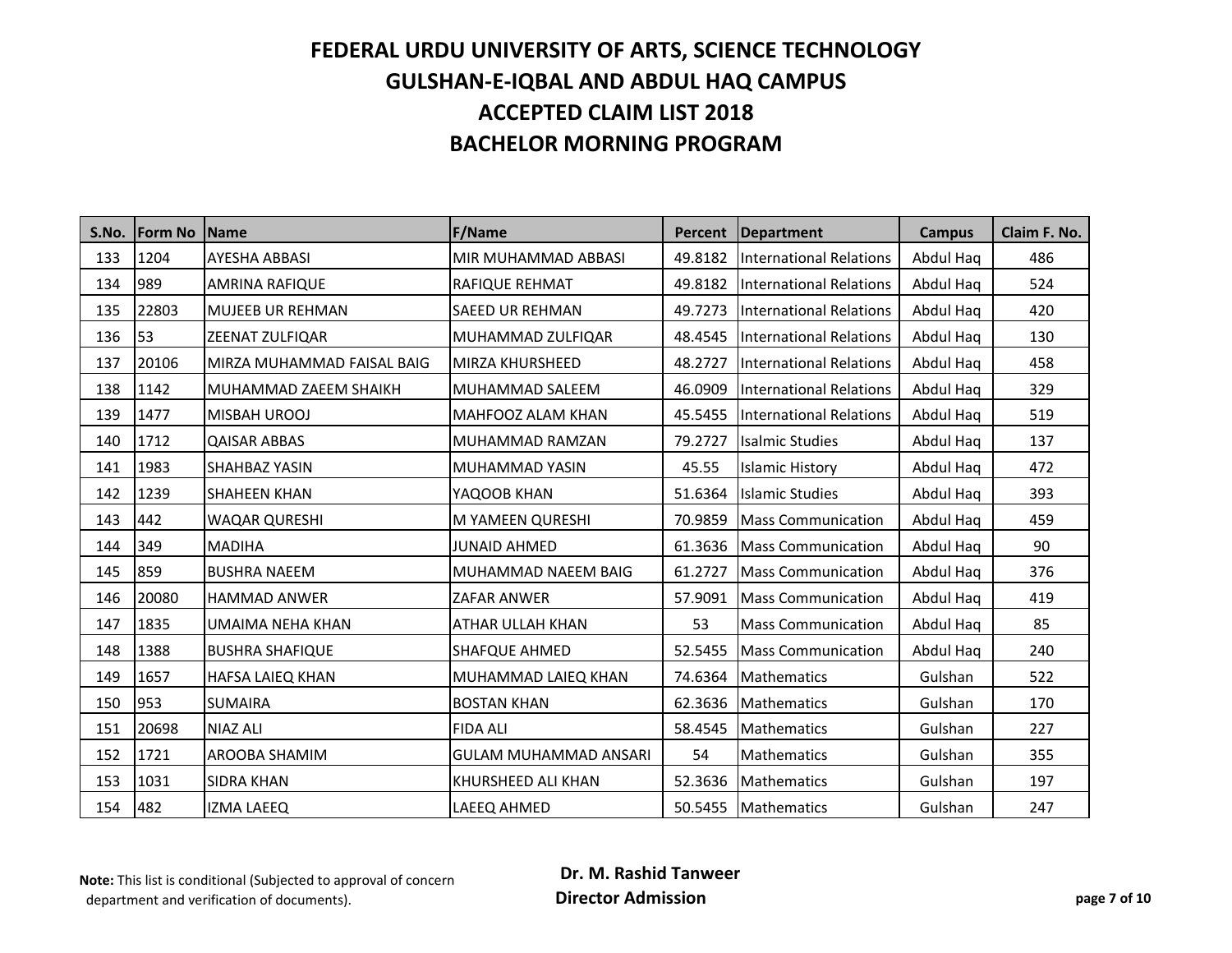| S.No. | <b>IForm No</b> | <b>Name</b>                | <b>F/Name</b>                | Percent | <b>Department</b>              | <b>Campus</b> | Claim F. No. |
|-------|-----------------|----------------------------|------------------------------|---------|--------------------------------|---------------|--------------|
| 133   | 1204            | <b>AYESHA ABBASI</b>       | MIR MUHAMMAD ABBASI          | 49.8182 | <b>International Relations</b> | Abdul Haq     | 486          |
| 134   | 989             | <b>AMRINA RAFIQUE</b>      | <b>RAFIQUE REHMAT</b>        | 49.8182 | International Relations        | Abdul Haq     | 524          |
| 135   | 22803           | <b>MUJEEB UR REHMAN</b>    | <b>SAEED UR REHMAN</b>       | 49.7273 | <b>International Relations</b> | Abdul Haq     | 420          |
| 136   | 53              | ZEENAT ZULFIQAR            | MUHAMMAD ZULFIQAR            | 48.4545 | <b>International Relations</b> | Abdul Haq     | 130          |
| 137   | 20106           | MIRZA MUHAMMAD FAISAL BAIG | <b>MIRZA KHURSHEED</b>       | 48.2727 | <b>International Relations</b> | Abdul Haq     | 458          |
| 138   | 1142            | MUHAMMAD ZAEEM SHAIKH      | MUHAMMAD SALEEM              | 46.0909 | <b>International Relations</b> | Abdul Haq     | 329          |
| 139   | 1477            | MISBAH UROOJ               | MAHFOOZ ALAM KHAN            | 45.5455 | International Relations        | Abdul Haq     | 519          |
| 140   | 1712            | <b>QAISAR ABBAS</b>        | MUHAMMAD RAMZAN              | 79.2727 | <b>Isalmic Studies</b>         | Abdul Haq     | 137          |
| 141   | 1983            | SHAHBAZ YASIN              | MUHAMMAD YASIN               | 45.55   | <b>Islamic History</b>         | Abdul Haq     | 472          |
| 142   | 1239            | <b>SHAHEEN KHAN</b>        | YAQOOB KHAN                  | 51.6364 | <b>Islamic Studies</b>         | Abdul Haq     | 393          |
| 143   | 442             | <b>WAQAR QURESHI</b>       | M YAMEEN QURESHI             | 70.9859 | <b>Mass Communication</b>      | Abdul Haq     | 459          |
| 144   | 349             | <b>MADIHA</b>              | <b>JUNAID AHMED</b>          | 61.3636 | <b>Mass Communication</b>      | Abdul Haq     | 90           |
| 145   | 859             | <b>BUSHRA NAEEM</b>        | MUHAMMAD NAEEM BAIG          | 61.2727 | <b>Mass Communication</b>      | Abdul Haq     | 376          |
| 146   | 20080           | <b>HAMMAD ANWER</b>        | <b>ZAFAR ANWER</b>           | 57.9091 | <b>Mass Communication</b>      | Abdul Haq     | 419          |
| 147   | 1835            | <b>UMAIMA NEHA KHAN</b>    | ATHAR ULLAH KHAN             | 53      | <b>Mass Communication</b>      | Abdul Haq     | 85           |
| 148   | 1388            | <b>BUSHRA SHAFIQUE</b>     | <b>SHAFQUE AHMED</b>         | 52.5455 | <b>Mass Communication</b>      | Abdul Haq     | 240          |
| 149   | 1657            | HAFSA LAIEQ KHAN           | MUHAMMAD LAIEQ KHAN          | 74.6364 | Mathematics                    | Gulshan       | 522          |
| 150   | 953             | <b>SUMAIRA</b>             | <b>BOSTAN KHAN</b>           | 62.3636 | <b>Mathematics</b>             | Gulshan       | 170          |
| 151   | 20698           | <b>NIAZ ALI</b>            | <b>FIDA ALI</b>              | 58.4545 | <b>Mathematics</b>             | Gulshan       | 227          |
| 152   | 1721            | AROOBA SHAMIM              | <b>GULAM MUHAMMAD ANSARI</b> | 54      | Mathematics                    | Gulshan       | 355          |
| 153   | 1031            | <b>SIDRA KHAN</b>          | <b>KHURSHEED ALI KHAN</b>    | 52.3636 | Mathematics                    | Gulshan       | 197          |
| 154   | 482             | <b>IZMA LAEEQ</b>          | <b>LAEEQ AHMED</b>           | 50.5455 | Mathematics                    | Gulshan       | 247          |

**Note:** This list is conditional (Subjected to approval of concern department and verification of documents).

 **Dr. M. Rashid Tanweer Director Admission page 7 of 10**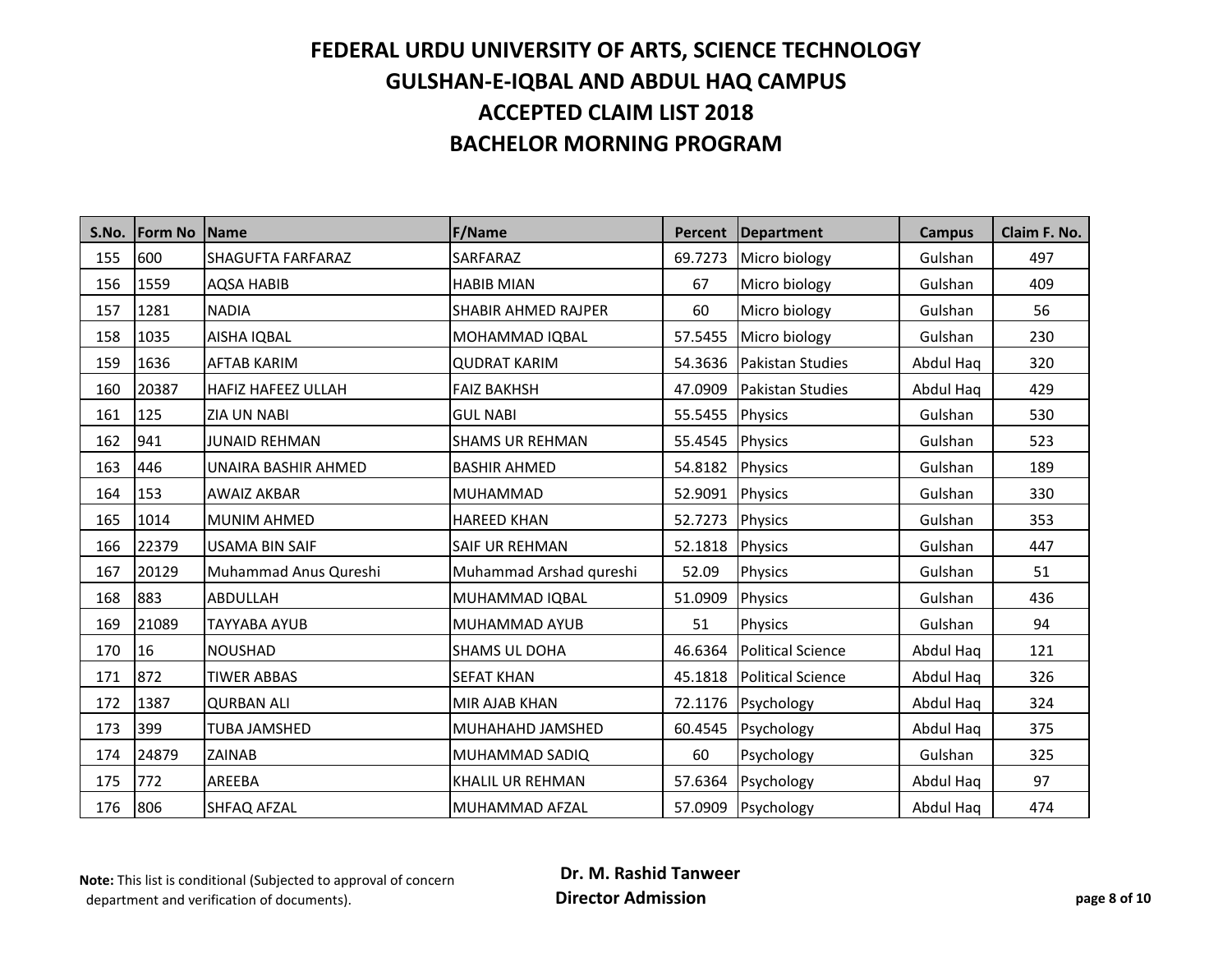| S.No.               | <b>Form No</b>     | <b>Name</b>               | <b>F/Name</b>              | Percent          | <b>Department</b>        | <b>Campus</b> | Claim F. No. |
|---------------------|--------------------|---------------------------|----------------------------|------------------|--------------------------|---------------|--------------|
| 155                 | 600                | SHAGUFTA FARFARAZ         | SARFARAZ                   | 69.7273          | Micro biology            | Gulshan       | 497          |
| 156                 | 1559               | <b>AQSA HABIB</b>         | <b>HABIB MIAN</b>          | 67               | Micro biology            | Gulshan       | 409          |
| 157                 | 1281               | <b>NADIA</b>              | <b>SHABIR AHMED RAJPER</b> | 60               | Micro biology            | Gulshan       | 56           |
| 158                 |                    | AISHA IQBAL               | MOHAMMAD IQBAL             | 57.5455          | Micro biology            | Gulshan       | 230          |
| 1035<br>1636<br>159 | <b>AFTAB KARIM</b> | <b>QUDRAT KARIM</b>       | 54.3636                    | Pakistan Studies | Abdul Haq                | 320           |              |
| 160                 | 20387              | <b>HAFIZ HAFEEZ ULLAH</b> | <b>FAIZ BAKHSH</b>         | 47.0909          | Pakistan Studies         | Abdul Haq     | 429          |
| 161                 | 125                | <b>ZIA UN NABI</b>        | <b>GUL NABI</b>            | 55.5455          | <b>Physics</b>           | Gulshan       | 530          |
| 162                 | 941                | <b>JUNAID REHMAN</b>      | <b>SHAMS UR REHMAN</b>     | 55.4545          | Physics                  | Gulshan       | 523          |
| 163                 | 446                | UNAIRA BASHIR AHMED       | <b>BASHIR AHMED</b>        | 54.8182          | Physics                  | Gulshan       | 189          |
| 164                 | 153                | <b>AWAIZ AKBAR</b>        | <b>MUHAMMAD</b>            | 52.9091          | Physics                  | Gulshan       | 330          |
| 165                 | 1014               | <b>MUNIM AHMED</b>        | <b>HAREED KHAN</b>         | 52.7273          | Physics                  | Gulshan       | 353          |
| 166                 | 22379              | <b>USAMA BIN SAIF</b>     | <b>SAIF UR REHMAN</b>      | 52.1818          | Physics                  | Gulshan       | 447          |
| 167                 | 20129              | Muhammad Anus Qureshi     | Muhammad Arshad qureshi    | 52.09            | Physics                  | Gulshan       | 51           |
| 168                 | 883                | ABDULLAH                  | MUHAMMAD IQBAL             | 51.0909          | Physics                  | Gulshan       | 436          |
| 169                 | 21089              | <b>TAYYABA AYUB</b>       | MUHAMMAD AYUB              | 51               | Physics                  | Gulshan       | 94           |
| 170                 | 16                 | <b>NOUSHAD</b>            | <b>SHAMS UL DOHA</b>       | 46.6364          | <b>Political Science</b> | Abdul Haq     | 121          |
| 171                 | 872                | <b>TIWER ABBAS</b>        | <b>SEFAT KHAN</b>          | 45.1818          | <b>Political Science</b> | Abdul Haq     | 326          |
| 172                 | 1387               | <b>QURBAN ALI</b>         | MIR AJAB KHAN              | 72.1176          | Psychology               | Abdul Haq     | 324          |
| 173                 | 399                | <b>TUBA JAMSHED</b>       | MUHAHAHD JAMSHED           | 60.4545          | Psychology               | Abdul Haq     | 375          |
| 174                 | 24879              | ZAINAB                    | MUHAMMAD SADIQ             | 60               | Psychology               | Gulshan       | 325          |
| 175                 | 772                | AREEBA                    | <b>KHALIL UR REHMAN</b>    | 57.6364          | Psychology               | Abdul Hag     | 97           |
| 176                 | 806                | <b>SHFAQ AFZAL</b>        | MUHAMMAD AFZAL             | 57.0909          | Psychology               | Abdul Haq     | 474          |

**Note:** This list is conditional (Subjected to approval of concern department and verification of documents).

 **Dr. M. Rashid Tanweer Director Admission page 8 of 10**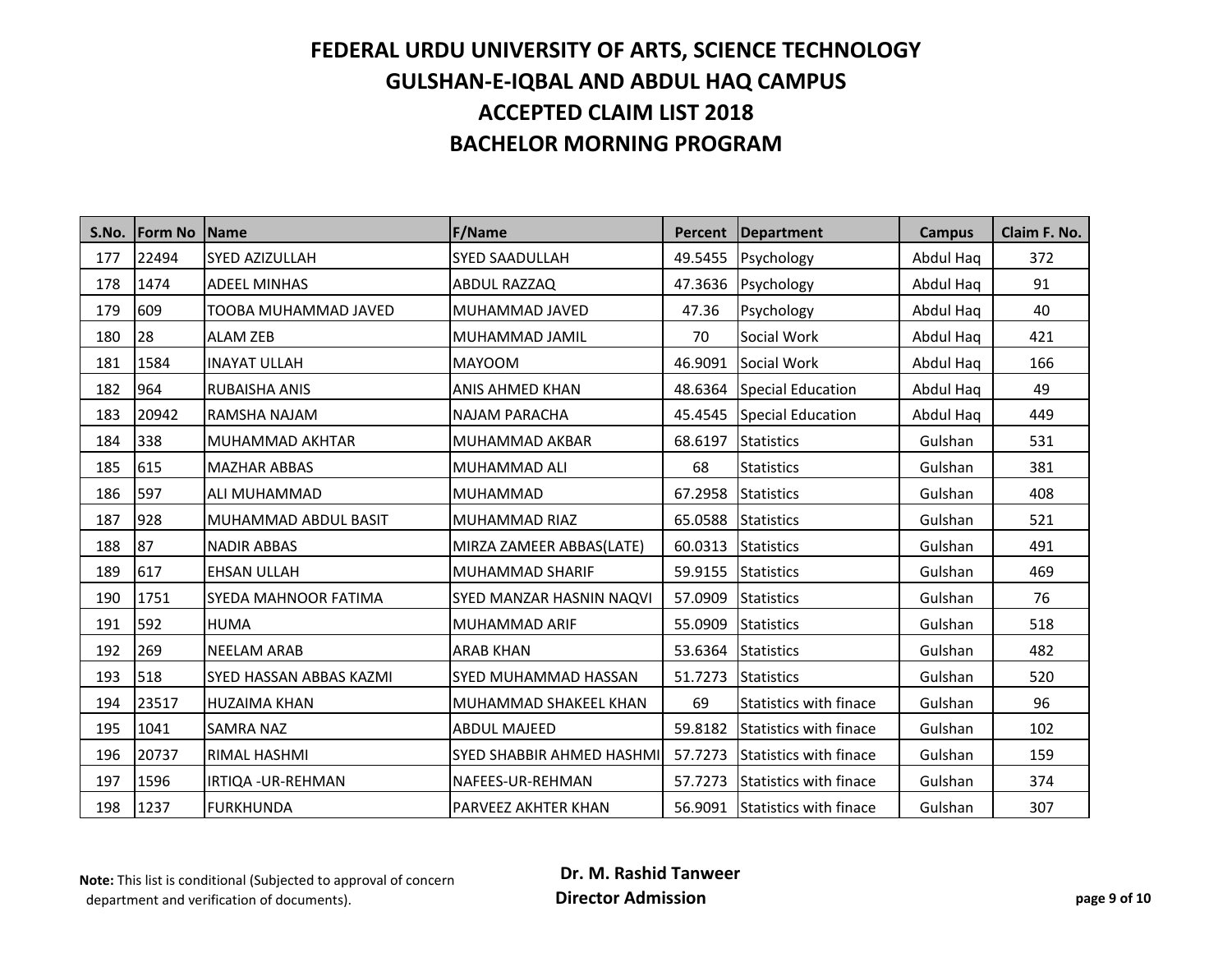| S.No. | <b>IForm No</b> | <b>Name</b>             | <b>F/Name</b>               | Percent | <b>Department</b>             | <b>Campus</b> | Claim F. No. |
|-------|-----------------|-------------------------|-----------------------------|---------|-------------------------------|---------------|--------------|
| 177   | 22494           | SYED AZIZULLAH          | <b>SYED SAADULLAH</b>       | 49.5455 | Psychology                    | Abdul Haq     | 372          |
| 178   | 1474            | <b>ADEEL MINHAS</b>     | <b>ABDUL RAZZAQ</b>         | 47.3636 | Psychology                    | Abdul Haq     | 91           |
| 179   | 609             | TOOBA MUHAMMAD JAVED    | MUHAMMAD JAVED              | 47.36   | Psychology                    | Abdul Haq     | 40           |
| 180   | 28              | <b>ALAM ZEB</b>         | MUHAMMAD JAMIL              | 70      | Social Work                   | Abdul Haq     | 421          |
| 181   | 1584            | <b>INAYAT ULLAH</b>     | <b>MAYOOM</b>               | 46.9091 | Social Work                   | Abdul Haq     | 166          |
| 182   | 964             | <b>RUBAISHA ANIS</b>    | <b>ANIS AHMED KHAN</b>      | 48.6364 | <b>Special Education</b>      | Abdul Haq     | 49           |
| 183   | 20942           | RAMSHA NAJAM            | <b>NAJAM PARACHA</b>        | 45.4545 | <b>Special Education</b>      | Abdul Haq     | 449          |
| 184   | 338             | MUHAMMAD AKHTAR         | <b>MUHAMMAD AKBAR</b>       | 68.6197 | <b>Statistics</b>             | Gulshan       | 531          |
| 185   | 615             | <b>MAZHAR ABBAS</b>     | MUHAMMAD ALI                | 68      | <b>Statistics</b>             | Gulshan       | 381          |
| 186   | 597             | ALI MUHAMMAD            | <b>MUHAMMAD</b>             | 67.2958 | <b>Statistics</b>             | Gulshan       | 408          |
| 187   | 928             | MUHAMMAD ABDUL BASIT    | MUHAMMAD RIAZ               | 65.0588 | <b>Statistics</b>             | Gulshan       | 521          |
| 188   | 87              | <b>NADIR ABBAS</b>      | MIRZA ZAMEER ABBAS(LATE)    | 60.0313 | <b>Statistics</b>             | Gulshan       | 491          |
| 189   | 617             | <b>EHSAN ULLAH</b>      | MUHAMMAD SHARIF             | 59.9155 | <b>Statistics</b>             | Gulshan       | 469          |
| 190   | 1751            | SYEDA MAHNOOR FATIMA    | SYED MANZAR HASNIN NAQVI    | 57.0909 | <b>Statistics</b>             | Gulshan       | 76           |
| 191   | 592             | <b>HUMA</b>             | <b>MUHAMMAD ARIF</b>        | 55.0909 | <b>Statistics</b>             | Gulshan       | 518          |
| 192   | 269             | <b>NEELAM ARAB</b>      | <b>ARAB KHAN</b>            | 53.6364 | <b>Statistics</b>             | Gulshan       | 482          |
| 193   | 518             | SYED HASSAN ABBAS KAZMI | <b>SYED MUHAMMAD HASSAN</b> | 51.7273 | <b>Statistics</b>             | Gulshan       | 520          |
| 194   | 23517           | <b>HUZAIMA KHAN</b>     | MUHAMMAD SHAKEEL KHAN       | 69      | <b>Statistics with finace</b> | Gulshan       | 96           |
| 195   | 1041            | <b>SAMRA NAZ</b>        | <b>ABDUL MAJEED</b>         | 59.8182 | <b>Statistics with finace</b> | Gulshan       | 102          |
| 196   | 20737           | RIMAL HASHMI            | SYED SHABBIR AHMED HASHMI   | 57.7273 | <b>Statistics with finace</b> | Gulshan       | 159          |
| 197   | 1596            | IRTIQA - UR-REHMAN      | NAFEES-UR-REHMAN            | 57.7273 | <b>Statistics with finace</b> | Gulshan       | 374          |
| 198   | 1237            | <b>FURKHUNDA</b>        | PARVEEZ AKHTER KHAN         | 56.9091 | Statistics with finace        | Gulshan       | 307          |